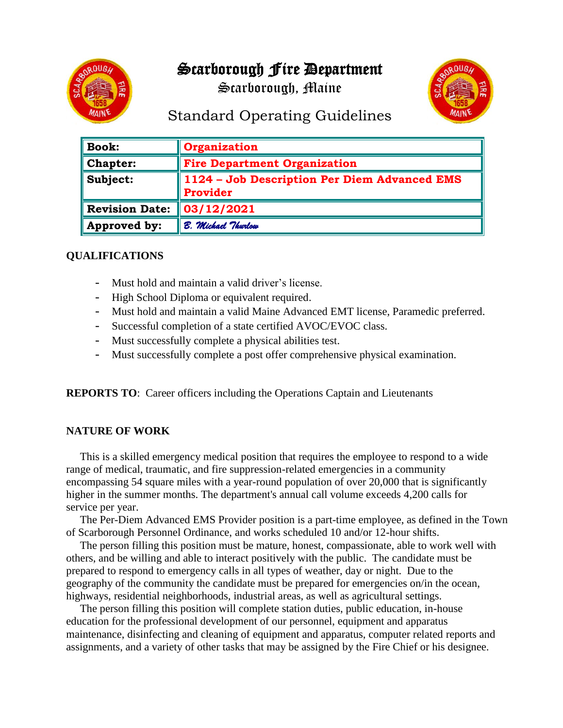# Scarborough Fire Department



Scarborough, Maine



## Standard Operating Guidelines

| <b>Book:</b>          | Organization                                             |
|-----------------------|----------------------------------------------------------|
| <b>Chapter:</b>       | <b>Fire Department Organization</b>                      |
| Subject:              | 1124 - Job Description Per Diem Advanced EMS<br>Provider |
| <b>Revision Date:</b> | $\mid$ 03/12/2021                                        |
| Approved by:          | B. Michael Thurlow                                       |

### **QUALIFICATIONS**

- Must hold and maintain a valid driver's license.
- High School Diploma or equivalent required.
- Must hold and maintain a valid Maine Advanced EMT license, Paramedic preferred.
- Successful completion of a state certified AVOC/EVOC class.
- Must successfully complete a physical abilities test.
- Must successfully complete a post offer comprehensive physical examination.

**REPORTS TO**: Career officers including the Operations Captain and Lieutenants

#### **NATURE OF WORK**

 This is a skilled emergency medical position that requires the employee to respond to a wide range of medical, traumatic, and fire suppression-related emergencies in a community encompassing 54 square miles with a year-round population of over 20,000 that is significantly higher in the summer months. The department's annual call volume exceeds 4,200 calls for service per year.

 The Per-Diem Advanced EMS Provider position is a part-time employee, as defined in the Town of Scarborough Personnel Ordinance, and works scheduled 10 and/or 12-hour shifts.

 The person filling this position must be mature, honest, compassionate, able to work well with others, and be willing and able to interact positively with the public. The candidate must be prepared to respond to emergency calls in all types of weather, day or night. Due to the geography of the community the candidate must be prepared for emergencies on/in the ocean, highways, residential neighborhoods, industrial areas, as well as agricultural settings.

 The person filling this position will complete station duties, public education, in-house education for the professional development of our personnel, equipment and apparatus maintenance, disinfecting and cleaning of equipment and apparatus, computer related reports and assignments, and a variety of other tasks that may be assigned by the Fire Chief or his designee.